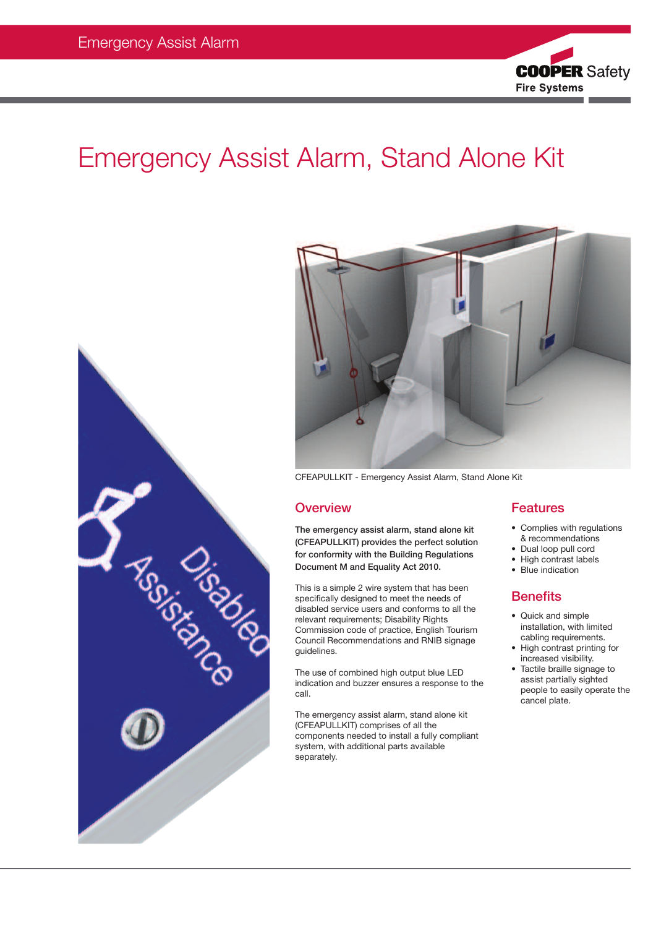

# Emergency Assist Alarm, Stand Alone Kit





CFEAPULLKIT - Emergency Assist Alarm, Stand Alone Kit

### **Overview**

The emergency assist alarm, stand alone kit (CFEAPULLKIT) provides the perfect solution for conformity with the Building Regulations Document M and Equality Act 2010.

This is a simple 2 wire system that has been specifically designed to meet the needs of disabled service users and conforms to all the relevant requirements; Disability Rights Commission code of practice, English Tourism Council Recommendations and RNIB signage guidelines.

The use of combined high output blue LED indication and buzzer ensures a response to the call.

The emergency assist alarm, stand alone kit (CFEAPULLKIT) comprises of all the components needed to install a fully compliant system, with additional parts available separately.

## Features

- Complies with regulations & recommendations
- Dual loop pull cord
- High contrast labels
- Blue indication

## **Benefits**

- Quick and simple installation, with limited cabling requirements.
- High contrast printing for increased visibility.
- Tactile braille signage to assist partially sighted people to easily operate the cancel plate.